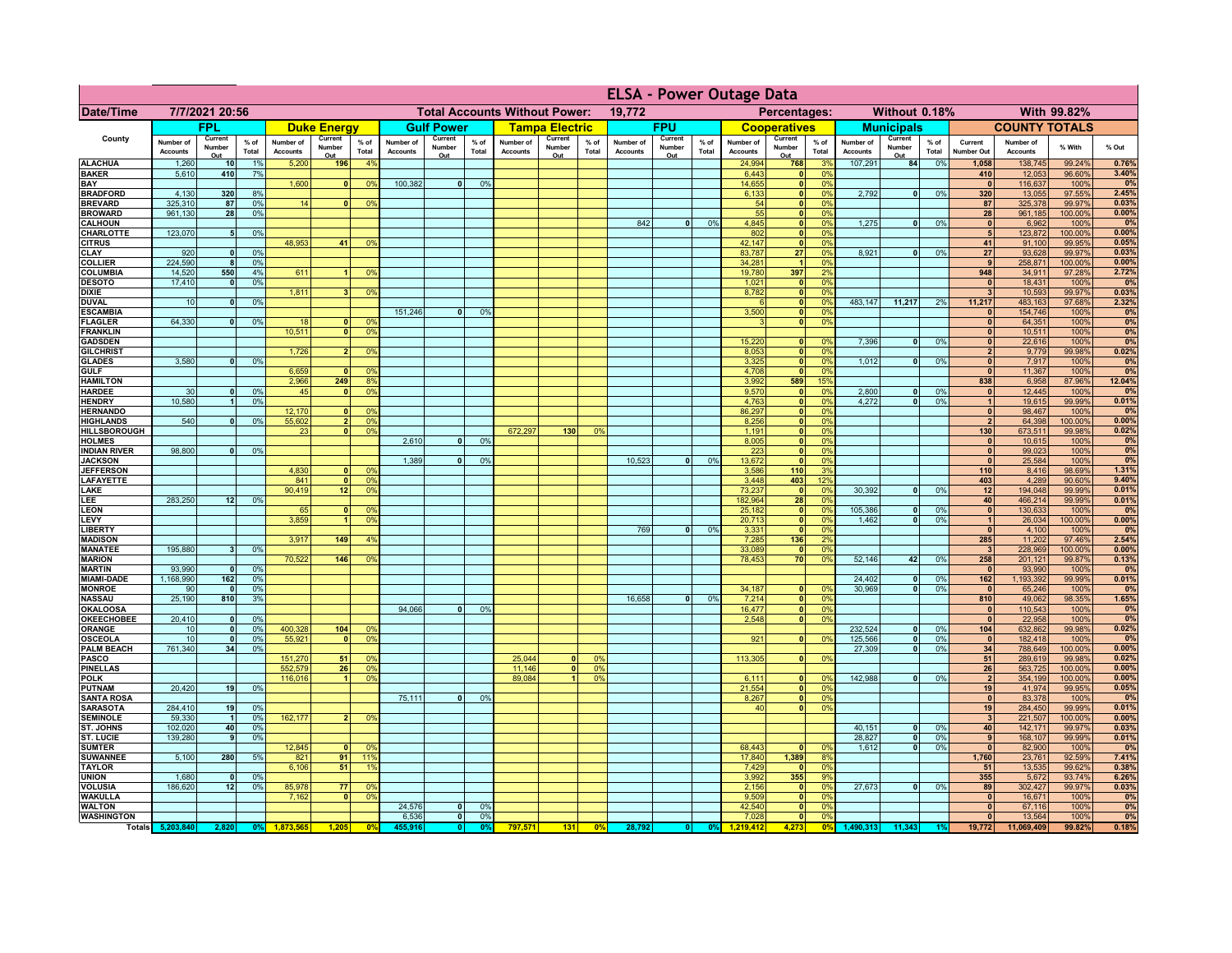|                                      |                              |                          |                 |                              |                                |                                                |                              |                          |                |                              |                                              |                 | <b>ELSA - Power Outage Data</b> |                          |                 |                              |                                                    |                      |                              |                                |                 |                              |                              |                   |                |
|--------------------------------------|------------------------------|--------------------------|-----------------|------------------------------|--------------------------------|------------------------------------------------|------------------------------|--------------------------|----------------|------------------------------|----------------------------------------------|-----------------|---------------------------------|--------------------------|-----------------|------------------------------|----------------------------------------------------|----------------------|------------------------------|--------------------------------|-----------------|------------------------------|------------------------------|-------------------|----------------|
| <b>Date/Time</b>                     | 7/7/2021 20:56               |                          |                 |                              |                                | <b>Total Accounts Without Power:</b><br>19,772 |                              |                          |                |                              | Percentages:<br>Without 0.18%<br>With 99.82% |                 |                                 |                          |                 |                              |                                                    |                      |                              |                                |                 |                              |                              |                   |                |
|                                      |                              | <b>FPL</b>               |                 |                              | <b>Duke Energy</b>             |                                                |                              | <b>Gulf Power</b>        |                |                              | <b>Tampa Electric</b>                        |                 |                                 | <b>FPU</b>               |                 |                              | <b>Cooperatives</b>                                |                      |                              | <b>Municipals</b>              |                 |                              | <b>COUNTY TOTALS</b>         |                   |                |
| County                               | Number of<br><b>Accounts</b> | Current<br>Number<br>Out | $%$ of<br>Total | Number of<br><b>Accounts</b> | Current<br>Number<br>Out       | $%$ of<br>Total                                | Number of<br><b>Accounts</b> | Current<br>Number<br>Out | % of<br>Total  | Number of<br><b>Accounts</b> | Current<br>Number<br>Out                     | $%$ of<br>Total | Number of<br><b>Accounts</b>    | Current<br>Number<br>Out | $%$ of<br>Total | Number of<br><b>Accounts</b> | Current<br>Number<br>Out                           | $%$ of<br>Total      | Number of<br><b>Accounts</b> | Current<br>Number<br>Out       | $%$ of<br>Total | Current<br>Number Out        | Number of<br><b>Accounts</b> | % With            | % Out          |
| <b>ALACHUA</b>                       | 1,260                        | 10 <sup>1</sup>          | 1%              | 5,200                        | 196                            | 4%                                             |                              |                          |                |                              |                                              |                 |                                 |                          |                 | 24,994                       | 768                                                | 3 <sup>0</sup>       | 107,291                      | 84                             | 0%              | 1,058                        | 138,745                      | 99.24%            | 0.76%          |
| <b>BAKER</b><br><b>BAY</b>           | 5,610                        | 410                      | 7%              | 1,600                        | 0                              | 0 <sup>9</sup>                                 | 100,382                      | $\overline{0}$           | 0%             |                              |                                              |                 |                                 |                          |                 | 6,443<br>14,655              | 0 <br>$\overline{\mathbf{0}}$                      | 0%<br>0%             |                              |                                |                 | 410<br>$\mathbf{0}$          | 12,053<br>116,637            | 96.60%<br>100%    | 3.40%<br>0%    |
| <b>BRADFORD</b>                      | 4,130                        | 320                      | 8%              |                              |                                |                                                |                              |                          |                |                              |                                              |                 |                                 |                          |                 | 6,133                        | 0                                                  | 0%                   | 2,792                        | 0                              | 0%              | 320                          | 13,055                       | 97.55%            | 2.45%          |
| <b>BREVARD</b>                       | 325,310                      | 87                       | 0%              | 14                           | 0                              | 0 <sup>9</sup>                                 |                              |                          |                |                              |                                              |                 |                                 |                          |                 | 54                           | 0                                                  | 0%                   |                              |                                |                 | 87                           | 325,378                      | 99.97%            | 0.03%          |
| <b>BROWARD</b><br><b>CALHOUN</b>     | 961,130                      | 28                       | 0%              |                              |                                |                                                |                              |                          |                |                              |                                              |                 | 842                             | $\bullet$                | 0%              | 55<br>4,845                  | 0 <br> 0                                           | 0%<br>0%             | 1,275                        | 0                              | 0%              | 28<br> 0                     | 961,185<br>6,962             | 100.00%<br>100%   | 0.00%<br>0%    |
| <b>CHARLOTTE</b>                     | 123,070                      | 5 <sub>l</sub>           | 0%              |                              |                                |                                                |                              |                          |                |                              |                                              |                 |                                 |                          |                 | 802                          | 0                                                  | 0%                   |                              |                                |                 | 5 <sub>l</sub>               | 123,872                      | 100.00%           | 0.00%          |
| <b>CITRUS</b>                        |                              | $\mathbf{0}$             |                 | 48,953                       | 41                             | 0 <sup>9</sup>                                 |                              |                          |                |                              |                                              |                 |                                 |                          |                 | 42,147<br>83,787             | 0                                                  | 0%<br>0%             |                              | - o l                          | 0%              | 41                           | 91,100                       | 99.95%            | 0.05%          |
| CLAY<br><b>COLLIER</b>               | 920<br>224,590               | 8                        | 0%<br>0%        |                              |                                |                                                |                              |                          |                |                              |                                              |                 |                                 |                          |                 | 34,281                       | 27<br>$\blacktriangleleft$                         | 0%                   | 8,921                        |                                |                 | 27<br>9                      | 93,628<br>258,871            | 99.97%<br>100.00% | 0.03%<br>0.00% |
| COLUMBIA                             | 14,520                       | 550                      | 4%              | 611                          |                                | 0 <sup>9</sup>                                 |                              |                          |                |                              |                                              |                 |                                 |                          |                 | 19,780                       | 397                                                | 2%                   |                              |                                |                 | 948                          | 34,911                       | 97.28%            | 2.72%          |
| <b>DESOTO</b><br><b>DIXIE</b>        | 17,410                       | $\mathbf{0}$             | 0%              | 1,811                        |                                |                                                |                              |                          |                |                              |                                              |                 |                                 |                          |                 | 1,021<br>8,782               | 0                                                  | 0%<br>0 <sup>9</sup> |                              |                                |                 | $\Omega$<br>3                | 18,431<br>10,593             | 100%              | 0%             |
| <b>DUVAL</b>                         | 10                           | $\mathbf 0$              | 0%              |                              |                                | 0 <sup>9</sup>                                 |                              |                          |                |                              |                                              |                 |                                 |                          |                 |                              | 0 <br> 0                                           | 0%                   | 483,147                      | 11,217                         | 2%              | 11,217                       | 483,163                      | 99.97%<br>97.68%  | 0.03%<br>2.32% |
| <b>ESCAMBIA</b>                      |                              |                          |                 |                              |                                |                                                | 151,246                      | 0                        | 0 <sup>9</sup> |                              |                                              |                 |                                 |                          |                 | 3,500                        | 0                                                  | 0%                   |                              |                                |                 | $\bf{0}$                     | 154,746                      | 100%              | 0%             |
| <b>FLAGLER</b><br><b>FRANKLIN</b>    | 64,330                       | 0                        | 0%              | 18<br>10,511                 | $\mathbf{0}$<br>$\overline{0}$ | 0 <sup>9</sup><br>0 <sup>9</sup>               |                              |                          |                |                              |                                              |                 |                                 |                          |                 |                              | 0                                                  | 0%                   |                              |                                |                 | $\mathbf{0}$<br>$\mathbf{0}$ | 64,351<br>10,511             | 100%<br>100%      | 0%<br>0%       |
| <b>GADSDEN</b>                       |                              |                          |                 |                              |                                |                                                |                              |                          |                |                              |                                              |                 |                                 |                          |                 | 15,220                       | 0                                                  | 0%                   | 7,396                        | $\Omega$                       | 0%              | 0                            | 22,616                       | 100%              | 0%             |
| <b>GILCHRIST</b>                     |                              |                          |                 | 1.726                        | 2 <sup>1</sup>                 | 0 <sup>9</sup>                                 |                              |                          |                |                              |                                              |                 |                                 |                          |                 | 8,053                        | 0                                                  | 0%                   |                              |                                |                 | $\overline{2}$               | 9,779                        | 99.98%            | 0.02%          |
| <b>GLADES</b><br><b>GULF</b>         | 3,580                        | 0                        | 0%              | 6,659                        | 0                              | 0 <sup>9</sup>                                 |                              |                          |                |                              |                                              |                 |                                 |                          |                 | 3,325<br>4,708               | 0 <br> 0                                           | 0%<br>0%             | 1,012                        | $\mathbf{0}$                   | 0%              | 0 <br>$\mathbf{0}$           | 7,917<br>11,367              | 100%<br>100%      | 0%<br>0%       |
| <b>HAMILTON</b>                      |                              |                          |                 | 2.966                        | 249                            | 8 <sup>0</sup>                                 |                              |                          |                |                              |                                              |                 |                                 |                          |                 | 3,992                        | 589                                                | 15%                  |                              |                                |                 | 838                          | 6,958                        | 87.96%            | 12.04%         |
| <b>HARDEE</b>                        | 30                           | 0                        | 0%              | 45                           | 0                              | 0 <sup>9</sup>                                 |                              |                          |                |                              |                                              |                 |                                 |                          |                 | 9,570                        | 0                                                  | 0%                   | 2,800                        | $\mathbf{0}$                   | 0%              | 0                            | 12,445                       | 100%              | 0%             |
| <b>HENDRY</b><br><b>HERNANDO</b>     | 10,580                       | $\overline{1}$           | 0 <sup>9</sup>  | 12,170                       | 0                              | 0 <sup>9</sup>                                 |                              |                          |                |                              |                                              |                 |                                 |                          |                 | 4,763<br>86,297              | $\overline{\mathbf{0}}$<br>$\overline{\mathbf{0}}$ | 0%<br>0%             | 4.272                        | $\overline{0}$                 | 0%              | 1<br> 0                      | 19,615<br>98,467             | 99.99%<br>100%    | 0.01%<br>0%    |
| <b>HIGHLANDS</b>                     | 540                          | $\mathbf{0}$             | 0 <sup>9</sup>  | 55,602                       | 2 <sup>1</sup>                 | 0 <sup>9</sup>                                 |                              |                          |                |                              |                                              |                 |                                 |                          |                 | 8,256                        | $\overline{\mathbf{0}}$                            | 0%                   |                              |                                |                 | $\overline{2}$               | 64,398                       | 100.00%           | 0.00%          |
| <b>HILLSBOROUGH</b>                  |                              |                          |                 | 23                           | 0 <sup>1</sup>                 | 0 <sup>9</sup>                                 |                              |                          |                | 672,297                      | 130                                          | 0%              |                                 |                          |                 | 1,191                        | 0                                                  | 0%                   |                              |                                |                 | 130                          | 673,511                      | 99.98%            | 0.02%          |
| <b>HOLMES</b><br><b>INDIAN RIVER</b> | 98,800                       | 0                        | 0%              |                              |                                |                                                | 2,610                        | $\Omega$                 | 0 <sup>9</sup> |                              |                                              |                 |                                 |                          |                 | 8,005<br>223                 | 0 <br> 0                                           | 0%<br>0%             |                              |                                |                 | $\mathbf{0}$<br> 0           | 10,615<br>99,023             | 100%<br>100%      | 0%<br>0%       |
| <b>JACKSON</b>                       |                              |                          |                 |                              |                                |                                                | 1,389                        | n l                      | 0 <sup>9</sup> |                              |                                              |                 | 10,523                          | $\mathbf{0}$             | 0%              | 13,672                       | 0                                                  | 0%                   |                              |                                |                 | 0                            | 25,584                       | 100%              | 0%             |
| <b>JEFFERSON</b>                     |                              |                          |                 | 4,830                        | $\Omega$                       | 0 <sup>9</sup>                                 |                              |                          |                |                              |                                              |                 |                                 |                          |                 | 3,586                        | 110 <sup>1</sup>                                   | 3%                   |                              |                                |                 | 110                          | 8,416                        | 98.69%            | 1.31%          |
| <b>LAFAYETTE</b><br>LAKE             |                              |                          |                 | 841<br>90,419                | $\mathbf{0}$<br>12             | 0 <sup>9</sup><br>0 <sup>9</sup>               |                              |                          |                |                              |                                              |                 |                                 |                          |                 | 3,448<br>73,237              | 403<br> 0                                          | 12%<br>0%            | 30,392                       | $\mathbf{0}$                   | 0%              | 403<br>12                    | 4,289<br>194,048             | 90.60%<br>99.99%  | 9.40%<br>0.01% |
| LEE                                  | 283,250                      | 12                       | 0%              |                              |                                |                                                |                              |                          |                |                              |                                              |                 |                                 |                          |                 | 182,964                      | 28                                                 | 0%                   |                              |                                |                 | 40                           | 466,214                      | 99.99%            | 0.01%          |
| <b>LEON</b>                          |                              |                          |                 | 65                           | $\Omega$                       | $^{\circ}$                                     |                              |                          |                |                              |                                              |                 |                                 |                          |                 | 25,182                       | 0                                                  | 0%                   | 105,386                      | - O I                          | 0%              | 0                            | 130,633                      | 100%              | 0%             |
| LEVY<br>LIBERTY                      |                              |                          |                 | 3,859                        | $\blacksquare$                 | 0 <sup>9</sup>                                 |                              |                          |                |                              |                                              |                 | 769                             | $\mathbf{0}$             | 0%              | 20,713<br>3,331              | 0 <br> 0                                           | 0%<br>0%             | 1,462                        | - O I                          | 0%              | $\vert$ 1<br> 0              | 26,034<br>4,100              | 100.00%<br>100%   | 0.00%<br>0%    |
| <b>MADISON</b>                       |                              |                          |                 | 3,917                        | 149                            | 4 <sup>9</sup>                                 |                              |                          |                |                              |                                              |                 |                                 |                          |                 | 7,285                        | 136                                                | 2%                   |                              |                                |                 | 285                          | 11,202                       | 97.46%            | 2.54%          |
| <b>MANATEE</b>                       | 195,880                      | 3 <sup>1</sup>           | 0%              |                              |                                |                                                |                              |                          |                |                              |                                              |                 |                                 |                          |                 | 33,089                       | 0                                                  | 0%                   |                              |                                |                 | $\mathbf{3}$                 | 228,969                      | 100.00%           | 0.00%          |
| <b>MARION</b><br><b>MARTIN</b>       | 93,990                       | $\Omega$                 | 0%              | 70,522                       | 146                            | 0 <sup>9</sup>                                 |                              |                          |                |                              |                                              |                 |                                 |                          |                 | 78,453                       | 70                                                 | 0%                   | 52,146                       | 42                             | 0%              | 258<br> 0                    | 201,121<br>93,990            | 99.87%<br>100%    | 0.13%<br>0%    |
| <b>MIAMI-DADE</b>                    | 1,168,990                    | 162                      | 0%              |                              |                                |                                                |                              |                          |                |                              |                                              |                 |                                 |                          |                 |                              |                                                    |                      | 24,402                       | $\mathbf{0}$                   | 0%              | 162                          | 1,193,392                    | 99.99%            | 0.01%          |
| <b>MONROE</b>                        | 90                           | - O I                    | 0%              |                              |                                |                                                |                              |                          |                |                              |                                              |                 |                                 |                          |                 | 34,187                       | 0                                                  | $\Omega$ %<br>0%     | 30.969                       | - O I                          | 0%              | 0                            | 65,246                       | 100%              | 0%             |
| <b>NASSAU</b><br><b>OKALOOSA</b>     | 25,190                       | 810                      | 3%              |                              |                                |                                                | 94,066                       | 0                        | 0%             |                              |                                              |                 | 16,658                          | 0                        | 0%              | 7,214<br>16,477              | 0 <br> 0                                           | 0%                   |                              |                                |                 | 810<br> 0                    | 49,062<br>110,543            | 98.35%<br>100%    | 1.65%<br>0%    |
| <b>OKEECHOBEE</b>                    | 20,410                       | 0                        | 0%              |                              |                                |                                                |                              |                          |                |                              |                                              |                 |                                 |                          |                 | 2,548                        | 0                                                  | 0%                   |                              |                                |                 | 0                            | 22,958                       | 100%              | 0%             |
| ORANGE                               | 10                           | 0                        | 0%<br>0%        | 400,328                      | 104                            | 0 <sup>9</sup><br>0 <sup>9</sup>               |                              |                          |                |                              |                                              |                 |                                 |                          |                 | 921                          |                                                    |                      | 232,524                      | 0                              | 0%              | $104$                        | 632,862                      | 99.98%            | 0.02%<br>0%    |
| OSCEOLA<br><b>PALM BEACH</b>         | 10<br>761,340                | 0 <br>34                 | 0%              | 55,92'                       | 0                              |                                                |                              |                          |                |                              |                                              |                 |                                 |                          |                 |                              | 0                                                  | 0%                   | 125,566<br>27,309            | 0 <br>$\overline{\phantom{0}}$ | 0%<br>0%        | 0 <br>34                     | 182,418<br>788,649           | 100%<br>100.00%   | 0.00%          |
| <b>PASCO</b>                         |                              |                          |                 | 151,270                      | 51                             | 0 <sup>9</sup>                                 |                              |                          |                | 25,044                       | $\Omega$                                     | 0%              |                                 |                          |                 | 113,305                      | 0                                                  | 0%                   |                              |                                |                 | 51                           | 289,619                      | 99.98%            | 0.02%          |
| <b>PINELLAS</b><br><b>POLK</b>       |                              |                          |                 | 552,579<br>116,016           | 26<br>$\blacktriangleleft$     | 0 <sup>9</sup><br>0 <sup>9</sup>               |                              |                          |                | 11,146<br>89,084             | $\mathbf{0}$                                 | 0%<br>0%        |                                 |                          |                 |                              |                                                    | nº                   | 142,988                      | 0                              | 0%              | 26                           | 563,725                      | 100.00%           | 0.00%<br>0.00% |
| PUTNAM                               | 20,420                       | 19                       | 0%              |                              |                                |                                                |                              |                          |                |                              |                                              |                 |                                 |                          |                 | 6,111<br>21,554              | 0 <br> 0                                           | 0%                   |                              |                                |                 | $\vert$ 2<br>19              | 354,199<br>41,974            | 100.00%<br>99.95% | 0.05%          |
| <b>SANTA ROSA</b>                    |                              |                          |                 |                              |                                |                                                | 75,111                       | 0                        | 0%             |                              |                                              |                 |                                 |                          |                 | 8,267                        | 0                                                  | 0%                   |                              |                                |                 | 0                            | 83,378                       | 100%              | 0%             |
| <b>SARASOTA</b><br><b>SEMINOLE</b>   | 284,410<br>59,330            | 19<br>$\overline{1}$     | 0%<br>0%        | 162,177                      | $\overline{2}$                 | 0 <sup>9</sup>                                 |                              |                          |                |                              |                                              |                 |                                 |                          |                 | 40                           | 0                                                  | 0%                   |                              |                                |                 | 19<br>3                      | 284,450                      | 99.99%<br>100.00% | 0.01%<br>0.00% |
| ST. JOHNS                            | 102,020                      | 40                       | 0%              |                              |                                |                                                |                              |                          |                |                              |                                              |                 |                                 |                          |                 |                              |                                                    |                      | 40,151                       | 0                              | 0%              | 40                           | 221,507<br>142,171           | 99.97%            | 0.03%          |
| <b>ST. LUCIE</b>                     | 139,280                      | 9                        | 0%              |                              |                                |                                                |                              |                          |                |                              |                                              |                 |                                 |                          |                 |                              |                                                    |                      | 28,827                       | 0                              | 0%              | $\pmb{9}$                    | 168,107                      | 99.99%            | 0.01%          |
| <b>SUMTER</b><br><b>SUWANNEE</b>     | 5,100                        | 280                      | 5%              | 12,845<br>821                | 91                             | $\Omega$<br>119                                |                              |                          |                |                              |                                              |                 |                                 |                          |                 | 68,443<br>17,840             | $\mathbf{0}$<br>1,389                              | 0 <sup>9</sup><br>8% | 1,612                        | -ol                            | 0%              | $\mathbf{0}$<br>1,760        | 82,900<br>23,761             | 100%<br>92.59%    | 0%<br>7.41%    |
| <b>TAYLOR</b>                        |                              |                          |                 | 6,106                        | 51                             | 1 <sup>c</sup>                                 |                              |                          |                |                              |                                              |                 |                                 |                          |                 | 7,429                        | 0                                                  | 0%                   |                              |                                |                 | 51                           | 13,535                       | 99.62%            | 0.38%          |
| <b>UNION</b>                         | 1,680                        | $\mathbf 0$              | 0 <sup>9</sup>  |                              |                                |                                                |                              |                          |                |                              |                                              |                 |                                 |                          |                 | 3,992                        | 355                                                | 9%                   |                              |                                |                 | 355                          | 5,672                        | 93.74%            | 6.26%          |
| <b>VOLUSIA</b><br><b>WAKULLA</b>     | 186,620                      | 12                       | 0%              | 85,978<br>7,162              | 77<br>$\mathbf{0}$             | 0 <sup>9</sup><br>0 <sup>9</sup>               |                              |                          |                |                              |                                              |                 |                                 |                          |                 | 2,156<br>9,509               | 0 <br> 0                                           | 0%<br>0%             | 27,673                       | $\overline{\bullet}$           | 0%              | 89<br>$\mathbf{0}$           | 302,427<br>16,671            | 99.97%<br>100%    | 0.03%<br>0%    |
| <b>WALTON</b>                        |                              |                          |                 |                              |                                |                                                | 24,576                       | 0                        | 0 <sup>9</sup> |                              |                                              |                 |                                 |                          |                 | 42,540                       | 0                                                  | 0%                   |                              |                                |                 | 0                            | 67,116                       | 100%              | 0%             |
| <b>WASHINGTON</b>                    |                              |                          |                 |                              |                                |                                                | 6,536                        | 0                        | 0%             |                              |                                              |                 |                                 |                          |                 | 7,028                        | $\overline{\bullet}$                               | 0%                   |                              |                                |                 | 0                            | 13,564                       | 100%              | 0%             |
|                                      | Totals 5,203,840             | 2,820                    | 0 <sup>9</sup>  | 1.873.565                    | 1,205                          | 0 <sup>0</sup>                                 | 455.916                      | 0                        | 0%             | 797,571                      | 131                                          | 0%              | 28,792                          | 0                        | 0%              | 1.219.412                    | 4,273                                              | 0%                   | 1,490,313                    | 11,343                         | 1%              | 19,772                       | 11,069,409                   | 99.82%            | 0.18%          |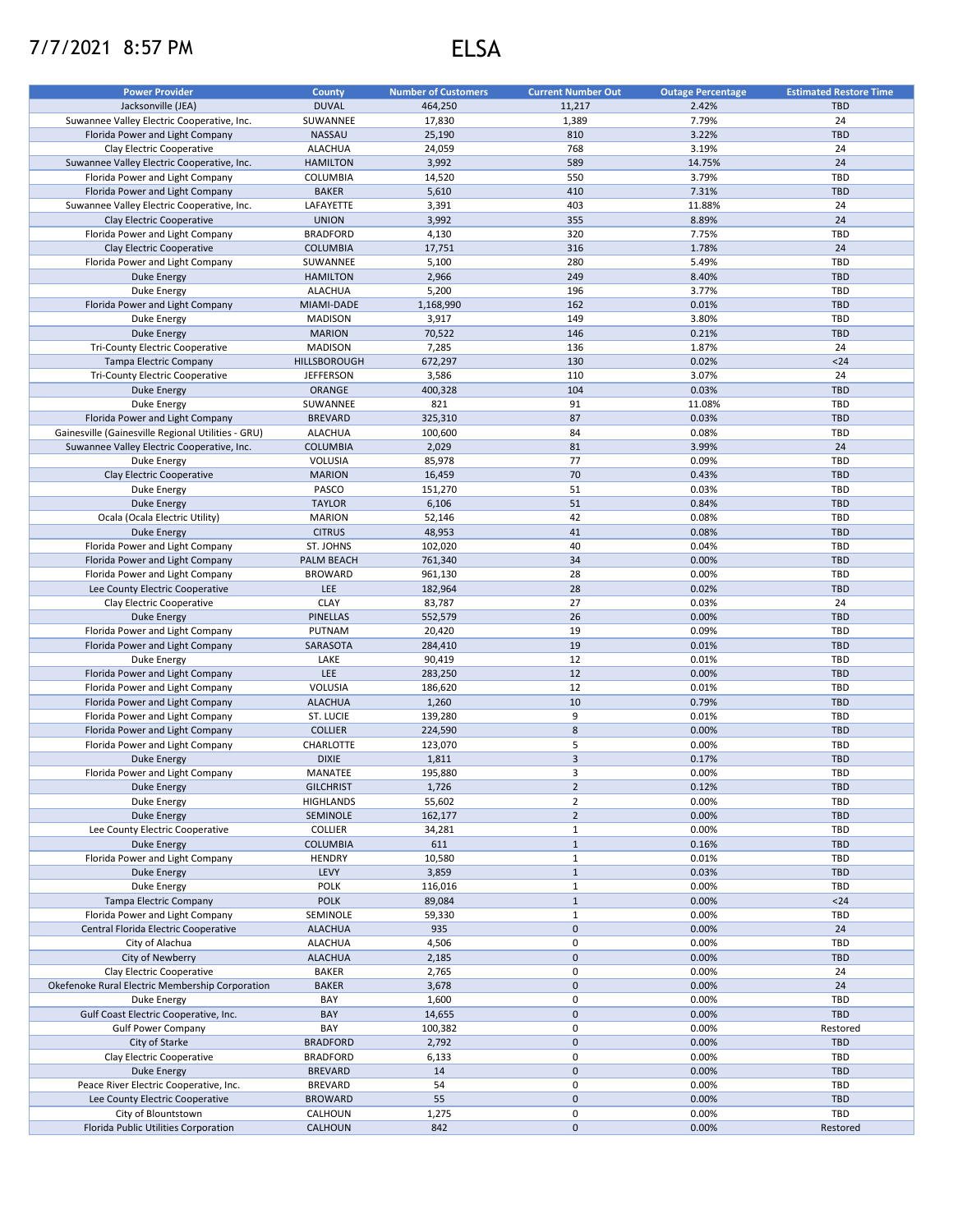## 7/7/2021 8:57 PM ELSA

| <b>Power Provider</b>                              | <b>County</b>     | <b>Number of Customers</b> | <b>Current Number Out</b> | <b>Outage Percentage</b> | <b>Estimated Restore Time</b> |
|----------------------------------------------------|-------------------|----------------------------|---------------------------|--------------------------|-------------------------------|
| Jacksonville (JEA)                                 | <b>DUVAL</b>      | 464,250                    | 11,217                    | 2.42%                    | <b>TBD</b>                    |
| Suwannee Valley Electric Cooperative, Inc.         | SUWANNEE          | 17,830                     | 1,389                     | 7.79%                    | 24                            |
| Florida Power and Light Company                    | NASSAU            | 25,190                     | 810                       | 3.22%                    | <b>TBD</b>                    |
|                                                    |                   |                            |                           |                          |                               |
| Clay Electric Cooperative                          | <b>ALACHUA</b>    | 24,059                     | 768                       | 3.19%                    | 24                            |
| Suwannee Valley Electric Cooperative, Inc.         | <b>HAMILTON</b>   | 3,992                      | 589                       | 14.75%                   | 24                            |
| Florida Power and Light Company                    | COLUMBIA          | 14,520                     | 550                       | 3.79%                    | TBD                           |
| Florida Power and Light Company                    | <b>BAKER</b>      | 5,610                      | 410                       | 7.31%                    | <b>TBD</b>                    |
| Suwannee Valley Electric Cooperative, Inc.         | LAFAYETTE         | 3,391                      | 403                       | 11.88%                   | 24                            |
| Clay Electric Cooperative                          | <b>UNION</b>      | 3,992                      | 355                       | 8.89%                    | 24                            |
| Florida Power and Light Company                    | <b>BRADFORD</b>   | 4,130                      | 320                       | 7.75%                    | TBD                           |
| Clay Electric Cooperative                          | <b>COLUMBIA</b>   | 17,751                     | 316                       | 1.78%                    | 24                            |
| Florida Power and Light Company                    | SUWANNEE          | 5,100                      | 280                       | 5.49%                    | TBD                           |
|                                                    |                   |                            |                           |                          |                               |
| <b>Duke Energy</b>                                 | <b>HAMILTON</b>   | 2,966                      | 249                       | 8.40%                    | <b>TBD</b>                    |
| Duke Energy                                        | <b>ALACHUA</b>    | 5,200                      | 196                       | 3.77%                    | TBD                           |
| Florida Power and Light Company                    | MIAMI-DADE        | 1,168,990                  | 162                       | 0.01%                    | <b>TBD</b>                    |
| Duke Energy                                        | <b>MADISON</b>    | 3,917                      | 149                       | 3.80%                    | TBD                           |
| <b>Duke Energy</b>                                 | <b>MARION</b>     | 70,522                     | 146                       | 0.21%                    | <b>TBD</b>                    |
| <b>Tri-County Electric Cooperative</b>             | <b>MADISON</b>    | 7,285                      | 136                       | 1.87%                    | 24                            |
| Tampa Electric Company                             | HILLSBOROUGH      | 672,297                    | 130                       | 0.02%                    | $24$                          |
| Tri-County Electric Cooperative                    | <b>JEFFERSON</b>  | 3,586                      | 110                       | 3.07%                    | 24                            |
| Duke Energy                                        | ORANGE            | 400,328                    | 104                       | 0.03%                    | <b>TBD</b>                    |
|                                                    |                   |                            |                           |                          |                               |
| Duke Energy                                        | SUWANNEE          | 821                        | 91                        | 11.08%                   | TBD                           |
| Florida Power and Light Company                    | <b>BREVARD</b>    | 325,310                    | 87                        | 0.03%                    | <b>TBD</b>                    |
| Gainesville (Gainesville Regional Utilities - GRU) | <b>ALACHUA</b>    | 100,600                    | 84                        | 0.08%                    | <b>TBD</b>                    |
| Suwannee Valley Electric Cooperative, Inc.         | <b>COLUMBIA</b>   | 2,029                      | 81                        | 3.99%                    | 24                            |
| Duke Energy                                        | VOLUSIA           | 85,978                     | 77                        | 0.09%                    | <b>TBD</b>                    |
| Clay Electric Cooperative                          | <b>MARION</b>     | 16,459                     | 70                        | 0.43%                    | <b>TBD</b>                    |
| Duke Energy                                        | PASCO             | 151,270                    | 51                        | 0.03%                    | TBD                           |
| Duke Energy                                        | <b>TAYLOR</b>     | 6,106                      | 51                        | 0.84%                    | <b>TBD</b>                    |
|                                                    |                   |                            |                           |                          | TBD                           |
| Ocala (Ocala Electric Utility)                     | <b>MARION</b>     | 52,146                     | 42                        | 0.08%                    |                               |
| Duke Energy                                        | <b>CITRUS</b>     | 48,953                     | 41                        | 0.08%                    | <b>TBD</b>                    |
| Florida Power and Light Company                    | ST. JOHNS         | 102,020                    | 40                        | 0.04%                    | TBD                           |
| Florida Power and Light Company                    | <b>PALM BEACH</b> | 761,340                    | 34                        | 0.00%                    | <b>TBD</b>                    |
| Florida Power and Light Company                    | <b>BROWARD</b>    | 961,130                    | 28                        | 0.00%                    | TBD                           |
| Lee County Electric Cooperative                    | <b>LEE</b>        | 182,964                    | 28                        | 0.02%                    | <b>TBD</b>                    |
| Clay Electric Cooperative                          | <b>CLAY</b>       | 83,787                     | 27                        | 0.03%                    | 24                            |
| <b>Duke Energy</b>                                 | <b>PINELLAS</b>   | 552,579                    | 26                        | 0.00%                    | <b>TBD</b>                    |
| Florida Power and Light Company                    | PUTNAM            | 20,420                     | 19                        | 0.09%                    | TBD                           |
|                                                    |                   |                            |                           |                          |                               |
| Florida Power and Light Company                    | SARASOTA          | 284,410                    | 19                        | 0.01%                    | <b>TBD</b>                    |
| Duke Energy                                        | LAKE              | 90,419                     | 12                        | 0.01%                    | TBD                           |
| Florida Power and Light Company                    | <b>LEE</b>        | 283,250                    | 12                        | 0.00%                    | <b>TBD</b>                    |
| Florida Power and Light Company                    | VOLUSIA           | 186,620                    | 12                        | 0.01%                    | TBD                           |
| Florida Power and Light Company                    | <b>ALACHUA</b>    | 1,260                      | 10                        | 0.79%                    | <b>TBD</b>                    |
| Florida Power and Light Company                    | ST. LUCIE         | 139,280                    | 9                         | 0.01%                    | TBD                           |
| Florida Power and Light Company                    | <b>COLLIER</b>    | 224,590                    | 8                         | 0.00%                    | <b>TBD</b>                    |
| Florida Power and Light Company                    | CHARLOTTE         | 123,070                    | 5                         | 0.00%                    | TBD                           |
| Duke Energy                                        | <b>DIXIE</b>      | 1,811                      | $\overline{\mathbf{3}}$   | 0.17%                    | <b>TBD</b>                    |
|                                                    |                   |                            |                           |                          |                               |
| Florida Power and Light Company                    | MANATEE           | 195,880                    | 3                         | 0.00%                    | TBD                           |
| <b>Duke Energy</b>                                 | <b>GILCHRIST</b>  | 1,726                      | $\overline{2}$            | 0.12%                    | <b>TBD</b>                    |
| Duke Energy                                        | <b>HIGHLANDS</b>  | 55,602                     | $\overline{2}$            | 0.00%                    | <b>TBD</b>                    |
| <b>Duke Energy</b>                                 | SEMINOLE          | 162,177                    | $\overline{2}$            | 0.00%                    | <b>TBD</b>                    |
| Lee County Electric Cooperative                    | <b>COLLIER</b>    | 34,281                     | $\mathbf 1$               | 0.00%                    | TBD                           |
| <b>Duke Energy</b>                                 | <b>COLUMBIA</b>   | 611                        | $\,1\,$                   | 0.16%                    | <b>TBD</b>                    |
| Florida Power and Light Company                    | <b>HENDRY</b>     | 10,580                     | $\mathbf 1$               | 0.01%                    | <b>TBD</b>                    |
| Duke Energy                                        | LEVY              | 3,859                      | $\mathbf 1$               | 0.03%                    | <b>TBD</b>                    |
|                                                    | <b>POLK</b>       |                            | $\mathbf{1}$              | 0.00%                    |                               |
| Duke Energy                                        |                   | 116,016                    |                           |                          | TBD                           |
| <b>Tampa Electric Company</b>                      | <b>POLK</b>       | 89,084                     | $\,1$                     | 0.00%                    | $24$                          |
| Florida Power and Light Company                    | SEMINOLE          | 59,330                     | $\mathbf 1$               | 0.00%                    | TBD                           |
| Central Florida Electric Cooperative               | <b>ALACHUA</b>    | 935                        | $\pmb{0}$                 | 0.00%                    | 24                            |
| City of Alachua                                    | <b>ALACHUA</b>    | 4,506                      | 0                         | 0.00%                    | TBD                           |
| City of Newberry                                   | <b>ALACHUA</b>    | 2,185                      | $\pmb{0}$                 | 0.00%                    | <b>TBD</b>                    |
| Clay Electric Cooperative                          | <b>BAKER</b>      | 2,765                      | 0                         | 0.00%                    | 24                            |
| Okefenoke Rural Electric Membership Corporation    | <b>BAKER</b>      | 3,678                      | $\pmb{0}$                 | 0.00%                    | 24                            |
|                                                    |                   |                            | 0                         |                          |                               |
| Duke Energy                                        | BAY               | 1,600                      |                           | 0.00%                    | TBD                           |
| Gulf Coast Electric Cooperative, Inc.              | BAY               | 14,655                     | $\pmb{0}$                 | 0.00%                    | <b>TBD</b>                    |
| <b>Gulf Power Company</b>                          | BAY               | 100,382                    | 0                         | 0.00%                    | Restored                      |
| City of Starke                                     | <b>BRADFORD</b>   | 2,792                      | $\pmb{0}$                 | 0.00%                    | TBD                           |
| Clay Electric Cooperative                          | <b>BRADFORD</b>   | 6,133                      | 0                         | 0.00%                    | TBD                           |
| Duke Energy                                        | <b>BREVARD</b>    | 14                         | $\mathbf 0$               | 0.00%                    | <b>TBD</b>                    |
| Peace River Electric Cooperative, Inc.             | <b>BREVARD</b>    | 54                         | 0                         | 0.00%                    | TBD                           |
| Lee County Electric Cooperative                    | <b>BROWARD</b>    | 55                         | $\pmb{0}$                 | 0.00%                    | <b>TBD</b>                    |
| City of Blountstown                                | CALHOUN           | 1,275                      | 0                         | 0.00%                    | TBD                           |
|                                                    |                   |                            |                           |                          |                               |
| Florida Public Utilities Corporation               | CALHOUN           | 842                        | $\mathsf{O}\xspace$       | 0.00%                    | Restored                      |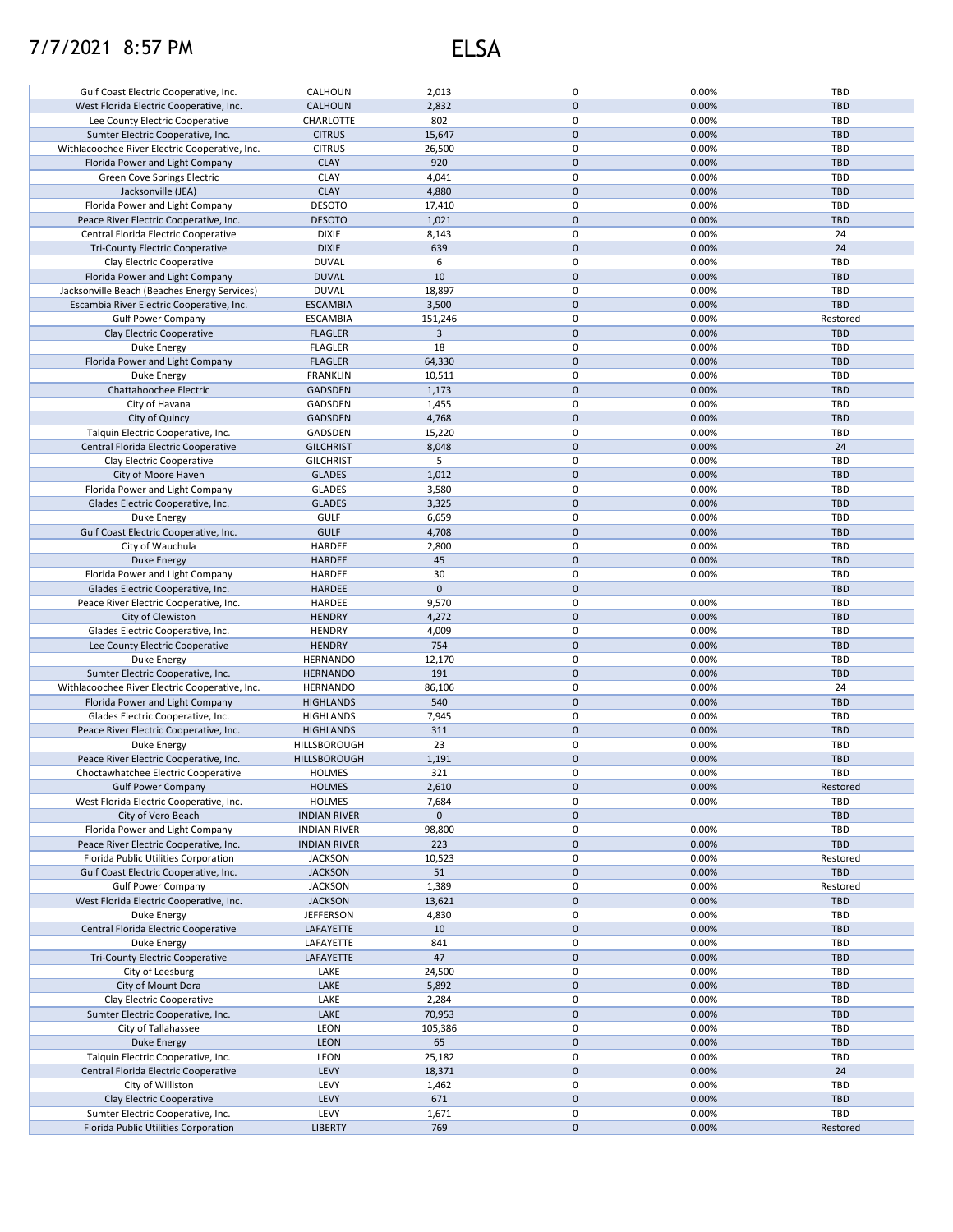## 7/7/2021 8:57 PM ELSA

| Gulf Coast Electric Cooperative, Inc.                                     | CALHOUN                | 2,013        | 0            | 0.00%          | TBD        |
|---------------------------------------------------------------------------|------------------------|--------------|--------------|----------------|------------|
|                                                                           |                        |              |              |                |            |
| West Florida Electric Cooperative, Inc.                                   | CALHOUN                | 2,832        | $\mathbf 0$  | 0.00%          | <b>TBD</b> |
| Lee County Electric Cooperative                                           | CHARLOTTE              | 802          | 0            | 0.00%          | TBD        |
| Sumter Electric Cooperative, Inc.                                         | <b>CITRUS</b>          | 15,647       | $\mathbf{0}$ | 0.00%          | <b>TBD</b> |
| Withlacoochee River Electric Cooperative, Inc.                            | <b>CITRUS</b>          | 26,500       | 0            | 0.00%          | TBD        |
|                                                                           |                        |              |              |                |            |
| Florida Power and Light Company                                           | <b>CLAY</b>            | 920          | $\mathbf 0$  | 0.00%          | <b>TBD</b> |
| Green Cove Springs Electric                                               | <b>CLAY</b>            | 4,041        | 0            | 0.00%          | TBD        |
| Jacksonville (JEA)                                                        | <b>CLAY</b>            | 4,880        | $\pmb{0}$    | 0.00%          | <b>TBD</b> |
| Florida Power and Light Company                                           | <b>DESOTO</b>          | 17,410       | 0            | 0.00%          | TBD        |
|                                                                           |                        |              |              |                |            |
| Peace River Electric Cooperative, Inc.                                    | <b>DESOTO</b>          | 1,021        | $\pmb{0}$    | 0.00%          | <b>TBD</b> |
| Central Florida Electric Cooperative                                      | <b>DIXIE</b>           | 8,143        | 0            | 0.00%          | 24         |
| <b>Tri-County Electric Cooperative</b>                                    | <b>DIXIE</b>           | 639          | $\pmb{0}$    | 0.00%          | 24         |
| Clay Electric Cooperative                                                 | <b>DUVAL</b>           | 6            | 0            | 0.00%          | TBD        |
|                                                                           |                        |              |              |                |            |
| Florida Power and Light Company                                           | <b>DUVAL</b>           | 10           | $\pmb{0}$    | 0.00%          | <b>TBD</b> |
| Jacksonville Beach (Beaches Energy Services)                              | <b>DUVAL</b>           | 18,897       | 0            | 0.00%          | TBD        |
| Escambia River Electric Cooperative, Inc.                                 | <b>ESCAMBIA</b>        | 3,500        | $\pmb{0}$    | 0.00%          | <b>TBD</b> |
| <b>Gulf Power Company</b>                                                 | <b>ESCAMBIA</b>        | 151,246      | 0            | 0.00%          | Restored   |
|                                                                           |                        |              |              |                |            |
| Clay Electric Cooperative                                                 | <b>FLAGLER</b>         | 3            | $\pmb{0}$    | 0.00%          | <b>TBD</b> |
| Duke Energy                                                               | <b>FLAGLER</b>         | 18           | 0            | 0.00%          | TBD        |
| Florida Power and Light Company                                           | <b>FLAGLER</b>         | 64,330       | $\pmb{0}$    | 0.00%          | <b>TBD</b> |
|                                                                           |                        |              |              |                |            |
| Duke Energy                                                               | <b>FRANKLIN</b>        | 10,511       | 0            | 0.00%          | TBD        |
| Chattahoochee Electric                                                    | <b>GADSDEN</b>         | 1,173        | $\pmb{0}$    | 0.00%          | <b>TBD</b> |
| City of Havana                                                            | GADSDEN                | 1,455        | $\pmb{0}$    | 0.00%          | TBD        |
|                                                                           |                        |              |              |                |            |
| City of Quincy                                                            | <b>GADSDEN</b>         | 4,768        | $\mathbf 0$  | 0.00%          | <b>TBD</b> |
| Talquin Electric Cooperative, Inc.                                        | GADSDEN                | 15,220       | 0            | 0.00%          | <b>TBD</b> |
| Central Florida Electric Cooperative                                      | <b>GILCHRIST</b>       | 8,048        | $\mathbf 0$  | 0.00%          | 24         |
| Clay Electric Cooperative                                                 |                        | 5            | 0            | 0.00%          | TBD        |
|                                                                           | <b>GILCHRIST</b>       |              |              |                |            |
| City of Moore Haven                                                       | <b>GLADES</b>          | 1,012        | $\mathbf 0$  | 0.00%          | <b>TBD</b> |
| Florida Power and Light Company                                           | <b>GLADES</b>          | 3,580        | 0            | 0.00%          | TBD        |
| Glades Electric Cooperative, Inc.                                         | <b>GLADES</b>          | 3,325        | $\pmb{0}$    | 0.00%          | <b>TBD</b> |
|                                                                           |                        |              |              |                |            |
| Duke Energy                                                               | <b>GULF</b>            | 6,659        | 0            | 0.00%          | TBD        |
| Gulf Coast Electric Cooperative, Inc.                                     | <b>GULF</b>            | 4,708        | $\pmb{0}$    | 0.00%          | <b>TBD</b> |
| City of Wauchula                                                          | HARDEE                 | 2,800        | 0            | 0.00%          | TBD        |
|                                                                           |                        |              |              |                |            |
| <b>Duke Energy</b>                                                        | <b>HARDEE</b>          | 45           | $\pmb{0}$    | 0.00%          | <b>TBD</b> |
| Florida Power and Light Company                                           | HARDEE                 | 30           | 0            | 0.00%          | TBD        |
| Glades Electric Cooperative, Inc.                                         | <b>HARDEE</b>          | $\pmb{0}$    | $\pmb{0}$    |                | <b>TBD</b> |
| Peace River Electric Cooperative, Inc.                                    | HARDEE                 | 9,570        | 0            | 0.00%          | TBD        |
|                                                                           |                        |              |              |                |            |
| City of Clewiston                                                         | <b>HENDRY</b>          | 4,272        | $\pmb{0}$    | 0.00%          | <b>TBD</b> |
| Glades Electric Cooperative, Inc.                                         | <b>HENDRY</b>          | 4,009        | 0            | 0.00%          | TBD        |
| Lee County Electric Cooperative                                           | <b>HENDRY</b>          | 754          | $\pmb{0}$    | 0.00%          | <b>TBD</b> |
|                                                                           |                        |              |              |                |            |
| Duke Energy                                                               | HERNANDO               | 12,170       | 0            | 0.00%          | TBD        |
| Sumter Electric Cooperative, Inc.                                         | <b>HERNANDO</b>        | 191          | $\pmb{0}$    | 0.00%          | <b>TBD</b> |
| Withlacoochee River Electric Cooperative, Inc.                            | <b>HERNANDO</b>        | 86,106       | 0            | 0.00%          | 24         |
|                                                                           |                        | 540          | $\pmb{0}$    | 0.00%          | <b>TBD</b> |
| Florida Power and Light Company                                           | <b>HIGHLANDS</b>       |              |              |                |            |
| Glades Electric Cooperative, Inc.                                         | <b>HIGHLANDS</b>       | 7,945        | $\pmb{0}$    | 0.00%          | TBD        |
| Peace River Electric Cooperative, Inc.                                    | <b>HIGHLANDS</b>       | 311          | $\pmb{0}$    | 0.00%          | <b>TBD</b> |
| Duke Energy                                                               | HILLSBOROUGH           | 23           | 0            | 0.00%          | TBD        |
|                                                                           |                        |              |              |                |            |
| Peace River Electric Cooperative, Inc.                                    | HILLSBOROUGH           | 1,191        | $\pmb{0}$    | 0.00%          | <b>TBD</b> |
| Choctawhatchee Electric Cooperative                                       | <b>HOLMES</b>          | 321          | $\mathbf 0$  |                |            |
| <b>Gulf Power Company</b>                                                 | <b>HOLMES</b>          |              |              | 0.00%          | TBD        |
|                                                                           |                        |              |              |                |            |
|                                                                           |                        | 2,610        | $\pmb{0}$    | 0.00%          | Restored   |
| West Florida Electric Cooperative, Inc.                                   | <b>HOLMES</b>          | 7,684        | 0            | 0.00%          | TBD        |
| City of Vero Beach                                                        | <b>INDIAN RIVER</b>    | $\mathbf{0}$ | $\mathbf 0$  |                | <b>TBD</b> |
|                                                                           |                        |              |              |                |            |
| Florida Power and Light Company                                           | <b>INDIAN RIVER</b>    | 98,800       | 0            | 0.00%          | TBD        |
| Peace River Electric Cooperative, Inc.                                    | <b>INDIAN RIVER</b>    | 223          | $\mathbf 0$  | 0.00%          | <b>TBD</b> |
| Florida Public Utilities Corporation                                      | <b>JACKSON</b>         | 10,523       | 0            | 0.00%          | Restored   |
| Gulf Coast Electric Cooperative, Inc.                                     | <b>JACKSON</b>         | 51           | $\mathbf 0$  | 0.00%          | <b>TBD</b> |
|                                                                           |                        |              |              |                |            |
| <b>Gulf Power Company</b>                                                 | <b>JACKSON</b>         | 1,389        | 0            | 0.00%          | Restored   |
| West Florida Electric Cooperative, Inc.                                   | <b>JACKSON</b>         | 13,621       | $\pmb{0}$    | 0.00%          | <b>TBD</b> |
| Duke Energy                                                               | <b>JEFFERSON</b>       | 4,830        | 0            | 0.00%          | TBD        |
|                                                                           |                        |              |              |                |            |
| Central Florida Electric Cooperative                                      | LAFAYETTE              | 10           | $\pmb{0}$    | 0.00%          | <b>TBD</b> |
| Duke Energy                                                               | LAFAYETTE              | 841          | 0            | 0.00%          | TBD        |
| Tri-County Electric Cooperative                                           | LAFAYETTE              | 47           | $\pmb{0}$    | 0.00%          | <b>TBD</b> |
| City of Leesburg                                                          |                        | 24,500       | 0            | 0.00%          | TBD        |
|                                                                           | LAKE                   |              |              |                |            |
| City of Mount Dora                                                        | LAKE                   | 5,892        | $\pmb{0}$    | 0.00%          | TBD        |
| Clay Electric Cooperative                                                 | LAKE                   | 2,284        | 0            | 0.00%          | TBD        |
| Sumter Electric Cooperative, Inc.                                         | LAKE                   | 70,953       | 0            | 0.00%          | <b>TBD</b> |
|                                                                           |                        |              |              |                |            |
| City of Tallahassee                                                       | LEON                   | 105,386      | 0            | 0.00%          | TBD        |
| <b>Duke Energy</b>                                                        | LEON                   | 65           | 0            | 0.00%          | <b>TBD</b> |
| Talquin Electric Cooperative, Inc.                                        | LEON                   | 25,182       | 0            | 0.00%          | TBD        |
|                                                                           |                        |              |              |                |            |
| Central Florida Electric Cooperative                                      | LEVY                   | 18,371       | $\pmb{0}$    | 0.00%          | 24         |
| City of Williston                                                         | LEVY                   | 1,462        | 0            | 0.00%          | TBD        |
| Clay Electric Cooperative                                                 | LEVY                   | 671          | $\mathbf 0$  | 0.00%          | <b>TBD</b> |
|                                                                           |                        |              | 0            |                | TBD        |
| Sumter Electric Cooperative, Inc.<br>Florida Public Utilities Corporation | LEVY<br><b>LIBERTY</b> | 1,671<br>769 | $\mathbf 0$  | 0.00%<br>0.00% | Restored   |